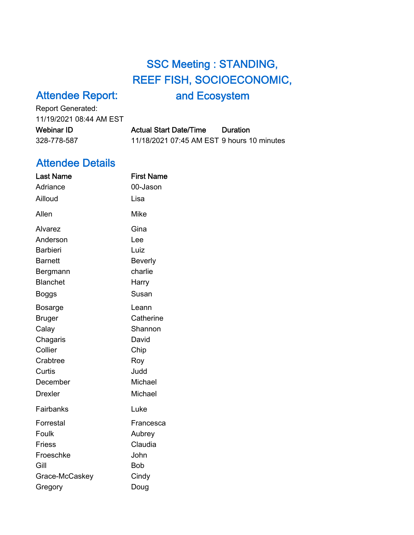## SSC Meeting : STANDING, REEF FISH, SOCIOECONOMIC,

## Attendee Report:

and Ecosystem

Report Generated: 11/19/2021 08:44 AM EST Webinar ID Actual Start Date/Time Duration

| Webinar ID I | Actual Start Date/Time                     | Duration |
|--------------|--------------------------------------------|----------|
| 328-778-587  | 11/18/2021 07:45 AM EST 9 hours 10 minutes |          |

## Attendee Details

| <b>Last Name</b> | <b>First Name</b> |
|------------------|-------------------|
| Adriance         | 00-Jason          |
| Ailloud          | Lisa              |
| Allen            | <b>Mike</b>       |
| Alvarez          | Gina              |
| Anderson         | Lee               |
| <b>Barbieri</b>  | Luiz              |
| <b>Barnett</b>   | <b>Beverly</b>    |
| Bergmann         | charlie           |
| <b>Blanchet</b>  | Harry             |
| <b>Boggs</b>     | Susan             |
| <b>Bosarge</b>   | Leann             |
| <b>Bruger</b>    | Catherine         |
| Calay            | Shannon           |
| Chagaris         | David             |
| Collier          | Chip              |
| Crabtree         | Roy               |
| Curtis           | Judd              |
| December         | Michael           |
| <b>Drexler</b>   | Michael           |
| Fairbanks        | Luke              |
| Forrestal        | Francesca         |
| Foulk            | Aubrey            |
| <b>Friess</b>    | Claudia           |
| Froeschke        | John              |
| Gill             | <b>Bob</b>        |
| Grace-McCaskey   | Cindy             |
| Gregory          | Doug              |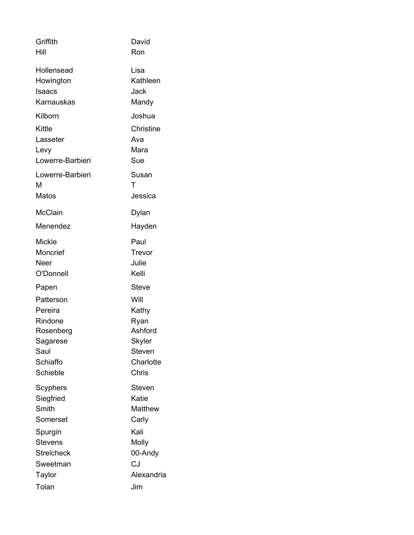| Griffith          | David          |
|-------------------|----------------|
| Hill              | Ron            |
| Hollensead        | Lisa           |
| Howington         | Kathleen       |
| Isaacs            | Jack           |
| Karnauskas        | Mandy          |
| Kilborn           | Joshua         |
| Kittle            | Christine      |
| Lasseter          | Ava            |
| Levy              | Mara           |
| Lowerre-Barbieri  | Sue            |
| Lowerre-Barbieri  | Susan          |
| М                 | т              |
| <b>Matos</b>      | Jessica        |
| <b>McClain</b>    | Dylan          |
| Menendez          | Hayden         |
| <b>Mickle</b>     | Paul           |
| Moncrief          | Trevor         |
| Neer              | Julie          |
| O'Donnell         | Kelli          |
| Papen             | Steve          |
| Patterson         | Will           |
| Pereira           | Kathy          |
| Rindone           | Ryan           |
| Rosenberg         | Ashford        |
| Sagarese          | <b>Skyler</b>  |
| Saul              | <b>Steven</b>  |
| Schiaffo          | Charlotte      |
| Schieble          | Chris          |
| Scyphers          | Steven         |
| Siegfried         | Katie          |
| Smith             | <b>Matthew</b> |
| Somerset          | Carly          |
| Spurgin           | Kali           |
| <b>Stevens</b>    | Molly          |
| <b>Streicheck</b> | 00-Andy        |
| Sweetman          | CJ             |
| Taylor            | Alexandria     |
| Tolan             | Jim            |